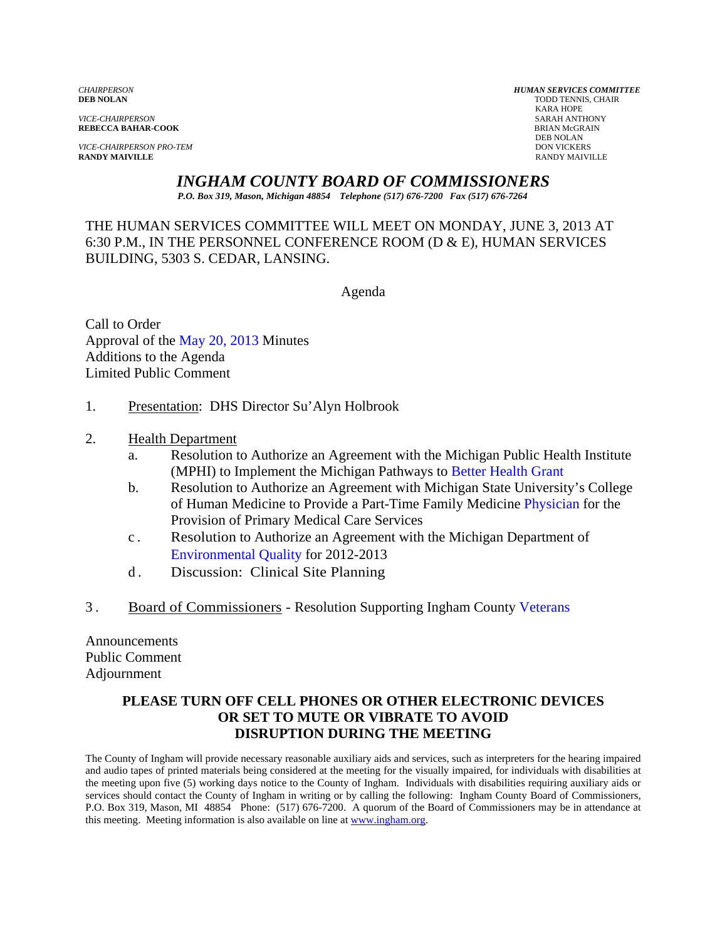*VICE-CHAIRPERSON* SARAH ANTHONY

*VICE-CHAIRPERSON PRO-TEM* DON VICKERS **RANDY MAIVILLE** RANDY MAIVILLE

*CHAIRPERSON HUMAN SERVICES COMMITTEE* TODD TENNIS, CHAIR<br>KARA HOPE KARA HOPE **REBECCA BAHAR-COOK**<br>BRIAN McGR<br>DEB NOLAN DEB NOLAN

*INGHAM COUNTY BOARD OF COMMISSIONERS* 

*P.O. Box 319, Mason, Michigan 48854 Telephone (517) 676-7200 Fax (517) 676-7264*

THE HUMAN SERVICES COMMITTEE WILL MEET ON MONDAY, JUNE 3, 2013 AT 6:30 P.M., IN THE PERSONNEL CONFERENCE ROOM (D & E), HUMAN SERVICES BUILDING, 5303 S. CEDAR, LANSING.

Agenda

Call to Order Approval o[f the May 20, 2013 Minutes](#page-1-0)  Additions to the Agenda Limited Public Comment

- 1. Presentation: DHS Director Su'Alyn Holbrook
- 2. Health Department
	- a. Resolution to Authorize an Agreement with t[he Michigan Public Health Institu](#page-7-0)te (MPHI) to Implement the Michigan Pathways to Better Health Grant
	- b. Resolution to Authorize an Agreement with Michigan State University's College of Human Medicine to Provide a Part-Time Family Medici[ne Physician for the](#page-16-0)  Provision of Primary Medical Care Services
	- c . Resolution to Authorize an Agreement with the Michigan Department of Environmental Quality for 2012-2013
	- d . [Discussion: Clinical Site Pla](#page-18-0)nning
- 3 . Board of Commissioners Resolution Supporting Ingham Coun[ty Veterans](#page-20-0)

Announcements Public Comment Adjournment

#### **PLEASE TURN OFF CELL PHONES OR OTHER ELECTRONIC DEVICES OR SET TO MUTE OR VIBRATE TO AVOID DISRUPTION DURING THE MEETING**

The County of Ingham will provide necessary reasonable auxiliary aids and services, such as interpreters for the hearing impaired and audio tapes of printed materials being considered at the meeting for the visually impaired, for individuals with disabilities at the meeting upon five (5) working days notice to the County of Ingham. Individuals with disabilities requiring auxiliary aids or services should contact the County of Ingham in writing or by calling the following: Ingham County Board of Commissioners, P.O. Box 319, Mason, MI 48854 Phone: (517) 676-7200. A quorum of the Board of Commissioners may be in attendance at this meeting. Meeting information is also available on line at www.ingham.org.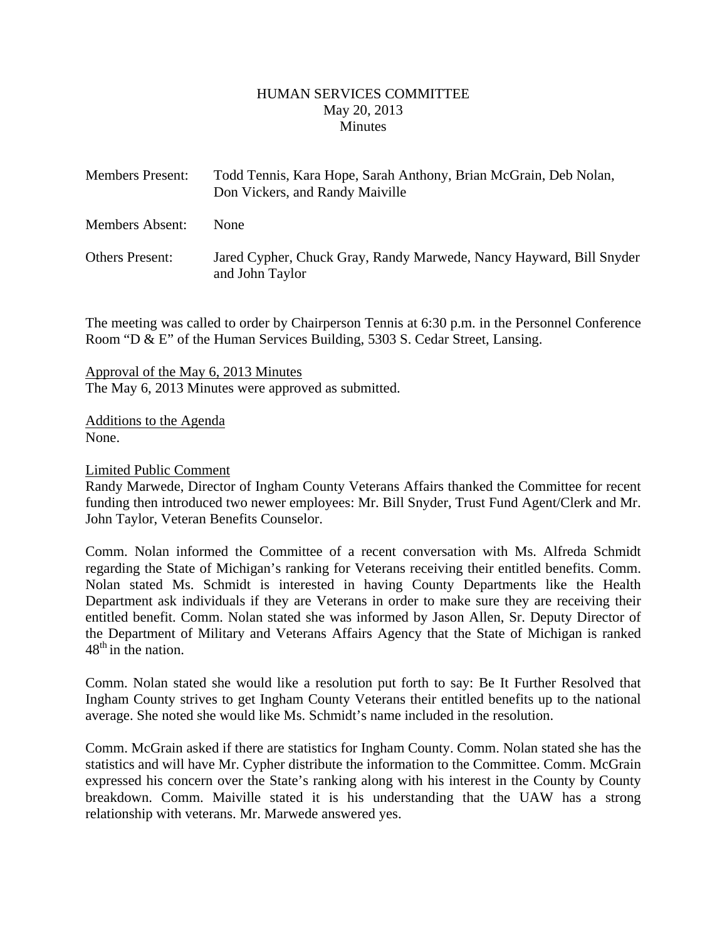#### HUMAN SERVICES COMMITTEE May 20, 2013 **Minutes**

<span id="page-1-0"></span>

| <b>Members Present:</b> | Todd Tennis, Kara Hope, Sarah Anthony, Brian McGrain, Deb Nolan,<br>Don Vickers, and Randy Maiville |
|-------------------------|-----------------------------------------------------------------------------------------------------|
| Members Absent:         | <b>None</b>                                                                                         |
| <b>Others Present:</b>  | Jared Cypher, Chuck Gray, Randy Marwede, Nancy Hayward, Bill Snyder<br>and John Taylor              |

The meeting was called to order by Chairperson Tennis at 6:30 p.m. in the Personnel Conference Room "D & E" of the Human Services Building, 5303 S. Cedar Street, Lansing.

Approval of the May 6, 2013 Minutes The May 6, 2013 Minutes were approved as submitted.

Additions to the Agenda None.

Limited Public Comment

Randy Marwede, Director of Ingham County Veterans Affairs thanked the Committee for recent funding then introduced two newer employees: Mr. Bill Snyder, Trust Fund Agent/Clerk and Mr. John Taylor, Veteran Benefits Counselor.

Comm. Nolan informed the Committee of a recent conversation with Ms. Alfreda Schmidt regarding the State of Michigan's ranking for Veterans receiving their entitled benefits. Comm. Nolan stated Ms. Schmidt is interested in having County Departments like the Health Department ask individuals if they are Veterans in order to make sure they are receiving their entitled benefit. Comm. Nolan stated she was informed by Jason Allen, Sr. Deputy Director of the Department of Military and Veterans Affairs Agency that the State of Michigan is ranked  $48<sup>th</sup>$  in the nation.

Comm. Nolan stated she would like a resolution put forth to say: Be It Further Resolved that Ingham County strives to get Ingham County Veterans their entitled benefits up to the national average. She noted she would like Ms. Schmidt's name included in the resolution.

Comm. McGrain asked if there are statistics for Ingham County. Comm. Nolan stated she has the statistics and will have Mr. Cypher distribute the information to the Committee. Comm. McGrain expressed his concern over the State's ranking along with his interest in the County by County breakdown. Comm. Maiville stated it is his understanding that the UAW has a strong relationship with veterans. Mr. Marwede answered yes.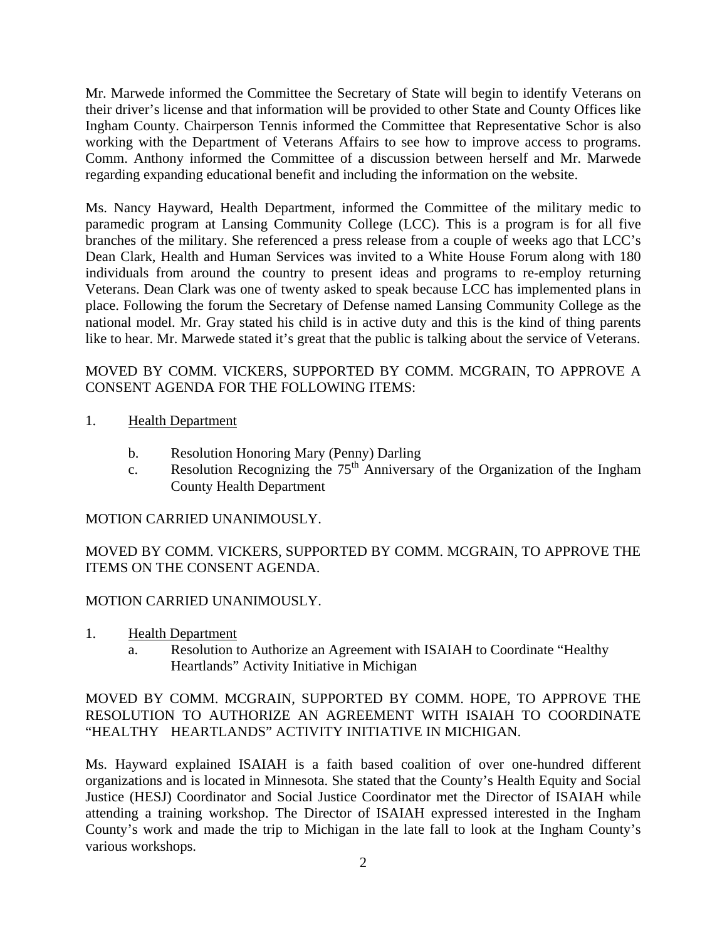Mr. Marwede informed the Committee the Secretary of State will begin to identify Veterans on their driver's license and that information will be provided to other State and County Offices like Ingham County. Chairperson Tennis informed the Committee that Representative Schor is also working with the Department of Veterans Affairs to see how to improve access to programs. Comm. Anthony informed the Committee of a discussion between herself and Mr. Marwede regarding expanding educational benefit and including the information on the website.

Ms. Nancy Hayward, Health Department, informed the Committee of the military medic to paramedic program at Lansing Community College (LCC). This is a program is for all five branches of the military. She referenced a press release from a couple of weeks ago that LCC's Dean Clark, Health and Human Services was invited to a White House Forum along with 180 individuals from around the country to present ideas and programs to re-employ returning Veterans. Dean Clark was one of twenty asked to speak because LCC has implemented plans in place. Following the forum the Secretary of Defense named Lansing Community College as the national model. Mr. Gray stated his child is in active duty and this is the kind of thing parents like to hear. Mr. Marwede stated it's great that the public is talking about the service of Veterans.

#### MOVED BY COMM. VICKERS, SUPPORTED BY COMM. MCGRAIN, TO APPROVE A CONSENT AGENDA FOR THE FOLLOWING ITEMS:

- 1. Health Department
	- b. Resolution Honoring Mary (Penny) Darling
	- c. Resolution Recognizing the  $75<sup>th</sup>$  Anniversary of the Organization of the Ingham County Health Department

## MOTION CARRIED UNANIMOUSLY.

MOVED BY COMM. VICKERS, SUPPORTED BY COMM. MCGRAIN, TO APPROVE THE ITEMS ON THE CONSENT AGENDA.

## MOTION CARRIED UNANIMOUSLY.

- 1. Health Department
	- a. Resolution to Authorize an Agreement with ISAIAH to Coordinate "Healthy Heartlands" Activity Initiative in Michigan

## MOVED BY COMM. MCGRAIN, SUPPORTED BY COMM. HOPE, TO APPROVE THE RESOLUTION TO AUTHORIZE AN AGREEMENT WITH ISAIAH TO COORDINATE "HEALTHY HEARTLANDS" ACTIVITY INITIATIVE IN MICHIGAN.

Ms. Hayward explained ISAIAH is a faith based coalition of over one-hundred different organizations and is located in Minnesota. She stated that the County's Health Equity and Social Justice (HESJ) Coordinator and Social Justice Coordinator met the Director of ISAIAH while attending a training workshop. The Director of ISAIAH expressed interested in the Ingham County's work and made the trip to Michigan in the late fall to look at the Ingham County's various workshops.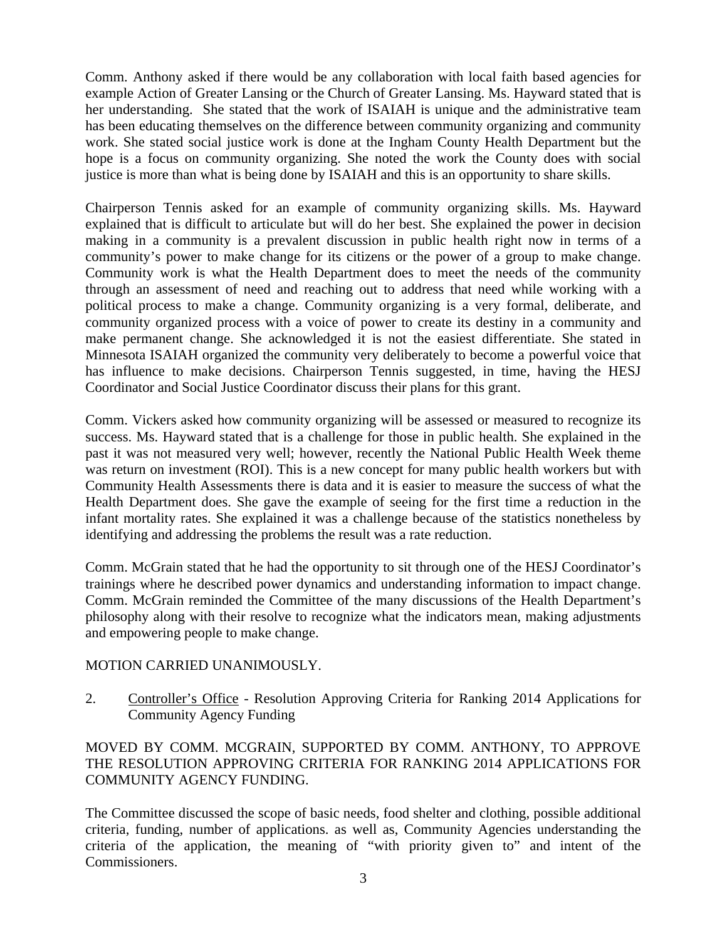Comm. Anthony asked if there would be any collaboration with local faith based agencies for example Action of Greater Lansing or the Church of Greater Lansing. Ms. Hayward stated that is her understanding. She stated that the work of ISAIAH is unique and the administrative team has been educating themselves on the difference between community organizing and community work. She stated social justice work is done at the Ingham County Health Department but the hope is a focus on community organizing. She noted the work the County does with social justice is more than what is being done by ISAIAH and this is an opportunity to share skills.

Chairperson Tennis asked for an example of community organizing skills. Ms. Hayward explained that is difficult to articulate but will do her best. She explained the power in decision making in a community is a prevalent discussion in public health right now in terms of a community's power to make change for its citizens or the power of a group to make change. Community work is what the Health Department does to meet the needs of the community through an assessment of need and reaching out to address that need while working with a political process to make a change. Community organizing is a very formal, deliberate, and community organized process with a voice of power to create its destiny in a community and make permanent change. She acknowledged it is not the easiest differentiate. She stated in Minnesota ISAIAH organized the community very deliberately to become a powerful voice that has influence to make decisions. Chairperson Tennis suggested, in time, having the HESJ Coordinator and Social Justice Coordinator discuss their plans for this grant.

Comm. Vickers asked how community organizing will be assessed or measured to recognize its success. Ms. Hayward stated that is a challenge for those in public health. She explained in the past it was not measured very well; however, recently the National Public Health Week theme was return on investment (ROI). This is a new concept for many public health workers but with Community Health Assessments there is data and it is easier to measure the success of what the Health Department does. She gave the example of seeing for the first time a reduction in the infant mortality rates. She explained it was a challenge because of the statistics nonetheless by identifying and addressing the problems the result was a rate reduction.

Comm. McGrain stated that he had the opportunity to sit through one of the HESJ Coordinator's trainings where he described power dynamics and understanding information to impact change. Comm. McGrain reminded the Committee of the many discussions of the Health Department's philosophy along with their resolve to recognize what the indicators mean, making adjustments and empowering people to make change.

## MOTION CARRIED UNANIMOUSLY.

2. Controller's Office - Resolution Approving Criteria for Ranking 2014 Applications for Community Agency Funding

## MOVED BY COMM. MCGRAIN, SUPPORTED BY COMM. ANTHONY, TO APPROVE THE RESOLUTION APPROVING CRITERIA FOR RANKING 2014 APPLICATIONS FOR COMMUNITY AGENCY FUNDING.

The Committee discussed the scope of basic needs, food shelter and clothing, possible additional criteria, funding, number of applications. as well as, Community Agencies understanding the criteria of the application, the meaning of "with priority given to" and intent of the Commissioners.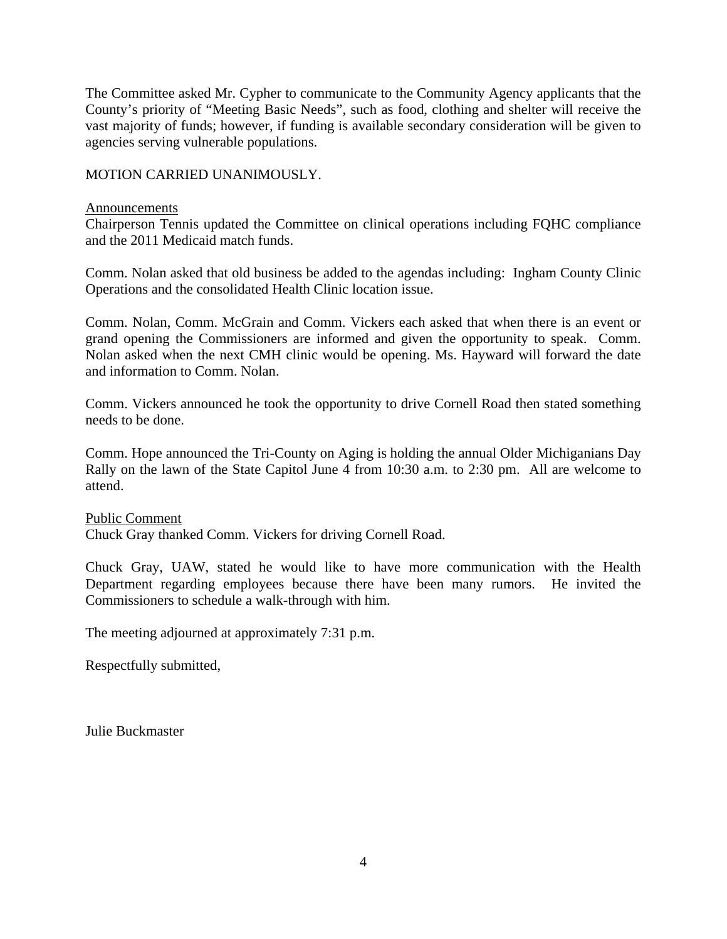The Committee asked Mr. Cypher to communicate to the Community Agency applicants that the County's priority of "Meeting Basic Needs", such as food, clothing and shelter will receive the vast majority of funds; however, if funding is available secondary consideration will be given to agencies serving vulnerable populations.

#### MOTION CARRIED UNANIMOUSLY.

#### Announcements

Chairperson Tennis updated the Committee on clinical operations including FQHC compliance and the 2011 Medicaid match funds.

Comm. Nolan asked that old business be added to the agendas including: Ingham County Clinic Operations and the consolidated Health Clinic location issue.

Comm. Nolan, Comm. McGrain and Comm. Vickers each asked that when there is an event or grand opening the Commissioners are informed and given the opportunity to speak. Comm. Nolan asked when the next CMH clinic would be opening. Ms. Hayward will forward the date and information to Comm. Nolan.

Comm. Vickers announced he took the opportunity to drive Cornell Road then stated something needs to be done.

Comm. Hope announced the Tri-County on Aging is holding the annual Older Michiganians Day Rally on the lawn of the State Capitol June 4 from 10:30 a.m. to 2:30 pm. All are welcome to attend.

#### Public Comment

Chuck Gray thanked Comm. Vickers for driving Cornell Road.

Chuck Gray, UAW, stated he would like to have more communication with the Health Department regarding employees because there have been many rumors. He invited the Commissioners to schedule a walk-through with him.

The meeting adjourned at approximately 7:31 p.m.

Respectfully submitted,

Julie Buckmaster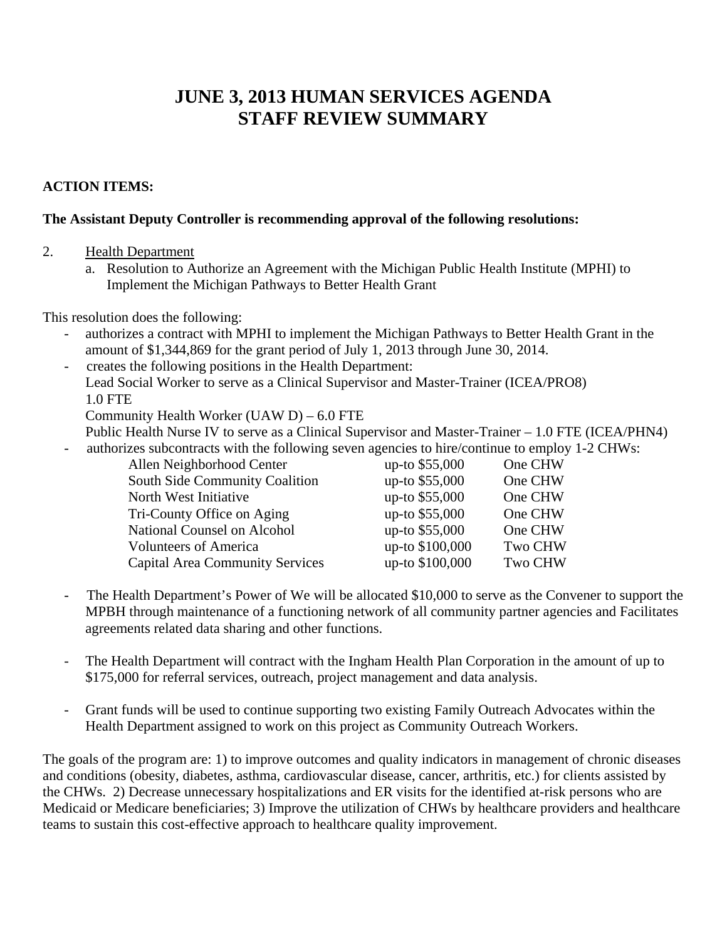# **JUNE 3, 2013 HUMAN SERVICES AGENDA STAFF REVIEW SUMMARY**

## **ACTION ITEMS:**

#### **The Assistant Deputy Controller is recommending approval of the following resolutions:**

- 2. Health Department
	- a. Resolution to Authorize an Agreement with the Michigan Public Health Institute (MPHI) to Implement the Michigan Pathways to Better Health Grant

This resolution does the following:

- authorizes a contract with MPHI to implement the Michigan Pathways to Better Health Grant in the amount of \$1,344,869 for the grant period of July 1, 2013 through June 30, 2014.
- creates the following positions in the Health Department: Lead Social Worker to serve as a Clinical Supervisor and Master-Trainer (ICEA/PRO8) 1.0 FTE

Community Health Worker (UAW D) – 6.0 FTE

- Public Health Nurse IV to serve as a Clinical Supervisor and Master-Trainer 1.0 FTE (ICEA/PHN4)
- authorizes subcontracts with the following seven agencies to hire/continue to employ 1-2 CHWs:

| up-to \$55,000  | One CHW        |
|-----------------|----------------|
| up-to \$55,000  | One CHW        |
| up-to \$55,000  | One CHW        |
| up-to \$55,000  | One CHW        |
| up-to \$55,000  | One CHW        |
| up-to \$100,000 | <b>Two CHW</b> |
| up-to \$100,000 | <b>Two CHW</b> |
|                 |                |

- The Health Department's Power of We will be allocated \$10,000 to serve as the Convener to support the MPBH through maintenance of a functioning network of all community partner agencies and Facilitates agreements related data sharing and other functions.
- The Health Department will contract with the Ingham Health Plan Corporation in the amount of up to \$175,000 for referral services, outreach, project management and data analysis.
- Grant funds will be used to continue supporting two existing Family Outreach Advocates within the Health Department assigned to work on this project as Community Outreach Workers.

The goals of the program are: 1) to improve outcomes and quality indicators in management of chronic diseases and conditions (obesity, diabetes, asthma, cardiovascular disease, cancer, arthritis, etc.) for clients assisted by the CHWs. 2) Decrease unnecessary hospitalizations and ER visits for the identified at-risk persons who are Medicaid or Medicare beneficiaries; 3) Improve the utilization of CHWs by healthcare providers and healthcare teams to sustain this cost-effective approach to healthcare quality improvement.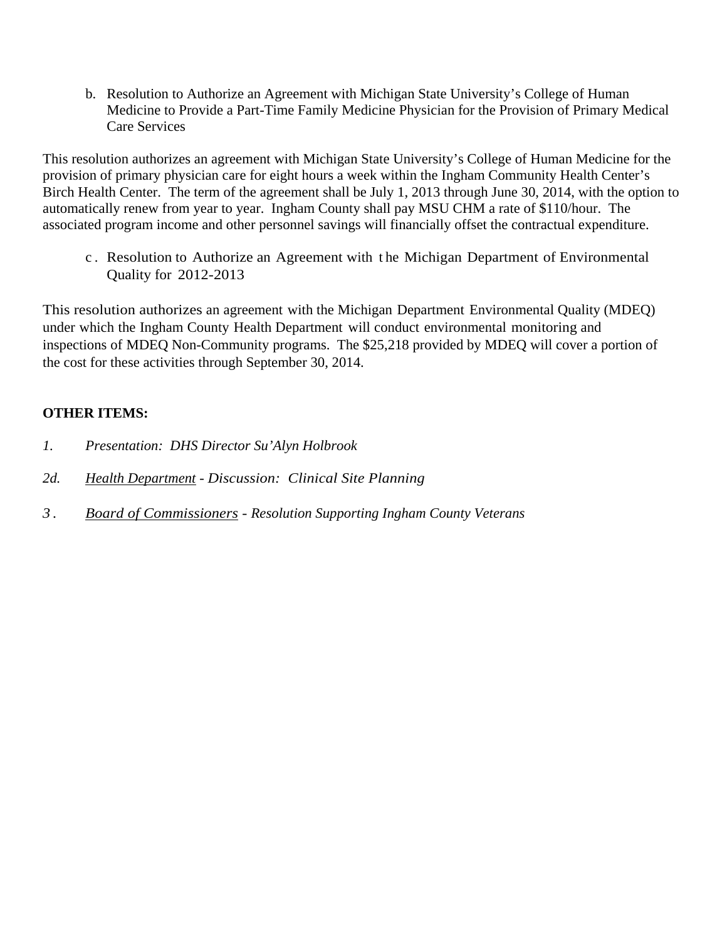b. Resolution to Authorize an Agreement with Michigan State University's College of Human Medicine to Provide a Part-Time Family Medicine Physician for the Provision of Primary Medical Care Services

This resolution authorizes an agreement with Michigan State University's College of Human Medicine for the provision of primary physician care for eight hours a week within the Ingham Community Health Center's Birch Health Center. The term of the agreement shall be July 1, 2013 through June 30, 2014, with the option to automatically renew from year to year. Ingham County shall pay MSU CHM a rate of \$110/hour. The associated program income and other personnel savings will financially offset the contractual expenditure.

c . Resolution to Authorize an Agreement with t he Michigan Department of Environmental Quality for 2012-2013

This resolution authorizes an agreement with the Michigan Department Environmental Quality (MDEQ) under which the Ingham County Health Department will conduct environmental monitoring and inspections of MDEQ Non-Community programs. The \$25,218 provided by MDEQ will cover a portion of the cost for these activities through September 30, 2014.

## **OTHER ITEMS:**

- *1. Presentation: DHS Director Su'Alyn Holbrook*
- *2d. Health Department Discussion: Clinical Site Planning*
- *3 . Board of Commissioners Resolution Supporting Ingham County Veterans*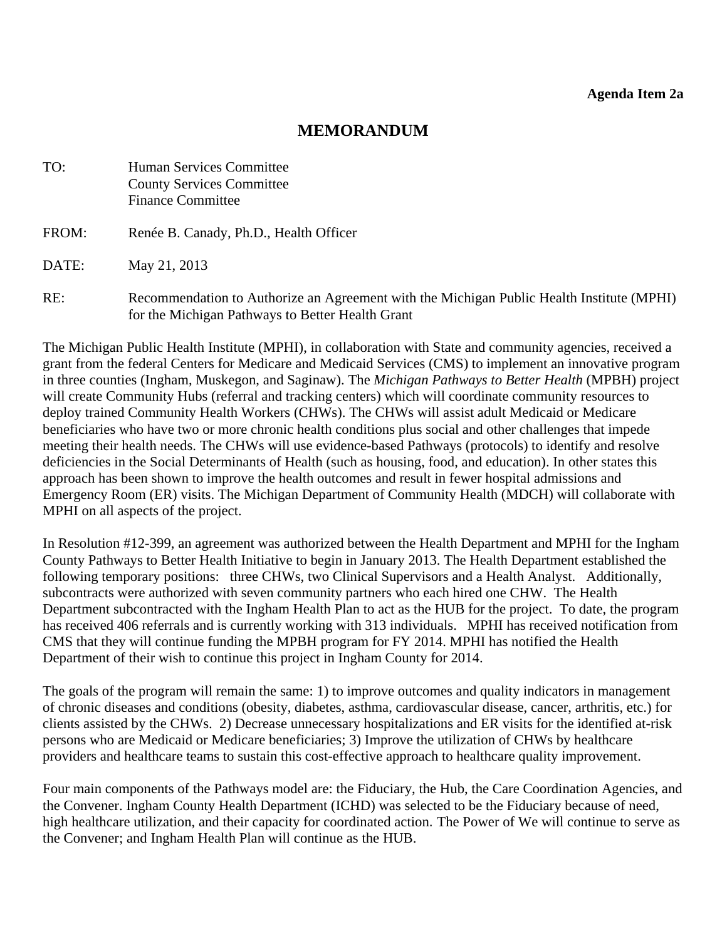# **MEMORANDUM**

<span id="page-7-0"></span>

| TO:   | <b>Human Services Committee</b><br><b>County Services Committee</b><br><b>Finance Committee</b>                                               |
|-------|-----------------------------------------------------------------------------------------------------------------------------------------------|
| FROM: | Renée B. Canady, Ph.D., Health Officer                                                                                                        |
| DATE: | May 21, 2013                                                                                                                                  |
| RE:   | Recommendation to Authorize an Agreement with the Michigan Public Health Institute (MPHI)<br>for the Michigan Pathways to Better Health Grant |

The Michigan Public Health Institute (MPHI), in collaboration with State and community agencies, received a grant from the federal Centers for Medicare and Medicaid Services (CMS) to implement an innovative program in three counties (Ingham, Muskegon, and Saginaw). The *Michigan Pathways to Better Health* (MPBH) project will create Community Hubs (referral and tracking centers) which will coordinate community resources to deploy trained Community Health Workers (CHWs). The CHWs will assist adult Medicaid or Medicare beneficiaries who have two or more chronic health conditions plus social and other challenges that impede meeting their health needs. The CHWs will use evidence-based Pathways (protocols) to identify and resolve deficiencies in the Social Determinants of Health (such as housing, food, and education). In other states this approach has been shown to improve the health outcomes and result in fewer hospital admissions and Emergency Room (ER) visits. The Michigan Department of Community Health (MDCH) will collaborate with MPHI on all aspects of the project.

In Resolution #12-399, an agreement was authorized between the Health Department and MPHI for the Ingham County Pathways to Better Health Initiative to begin in January 2013. The Health Department established the following temporary positions: three CHWs, two Clinical Supervisors and a Health Analyst. Additionally, subcontracts were authorized with seven community partners who each hired one CHW. The Health Department subcontracted with the Ingham Health Plan to act as the HUB for the project. To date, the program has received 406 referrals and is currently working with 313 individuals. MPHI has received notification from CMS that they will continue funding the MPBH program for FY 2014. MPHI has notified the Health Department of their wish to continue this project in Ingham County for 2014.

The goals of the program will remain the same: 1) to improve outcomes and quality indicators in management of chronic diseases and conditions (obesity, diabetes, asthma, cardiovascular disease, cancer, arthritis, etc.) for clients assisted by the CHWs. 2) Decrease unnecessary hospitalizations and ER visits for the identified at-risk persons who are Medicaid or Medicare beneficiaries; 3) Improve the utilization of CHWs by healthcare providers and healthcare teams to sustain this cost-effective approach to healthcare quality improvement.

Four main components of the Pathways model are: the Fiduciary, the Hub, the Care Coordination Agencies, and the Convener. Ingham County Health Department (ICHD) was selected to be the Fiduciary because of need, high healthcare utilization, and their capacity for coordinated action. The Power of We will continue to serve as the Convener; and Ingham Health Plan will continue as the HUB.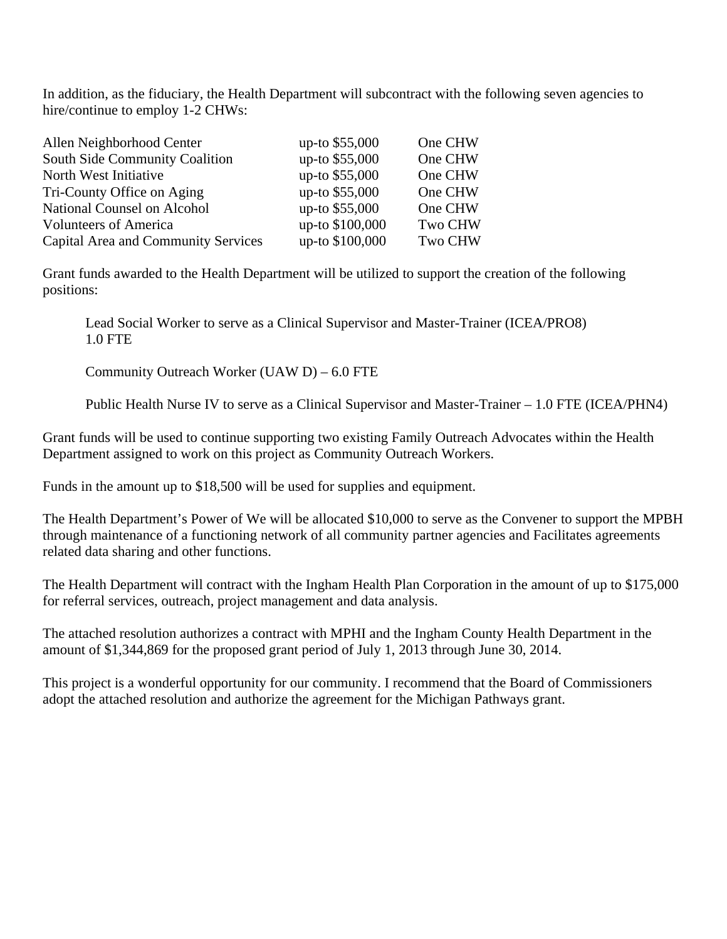In addition, as the fiduciary, the Health Department will subcontract with the following seven agencies to hire/continue to employ 1-2 CHWs:

| Allen Neighborhood Center                  | up-to \$55,000  | One CHW        |
|--------------------------------------------|-----------------|----------------|
| South Side Community Coalition             | up-to \$55,000  | One CHW        |
| North West Initiative                      | up-to \$55,000  | One CHW        |
| Tri-County Office on Aging                 | up-to \$55,000  | One CHW        |
| National Counsel on Alcohol                | up-to \$55,000  | One CHW        |
| <b>Volunteers of America</b>               | up-to \$100,000 | <b>Two CHW</b> |
| <b>Capital Area and Community Services</b> | up-to \$100,000 | <b>Two CHW</b> |

Grant funds awarded to the Health Department will be utilized to support the creation of the following positions:

 Lead Social Worker to serve as a Clinical Supervisor and Master-Trainer (ICEA/PRO8) 1.0 FTE

Community Outreach Worker (UAW D) – 6.0 FTE

Public Health Nurse IV to serve as a Clinical Supervisor and Master-Trainer – 1.0 FTE (ICEA/PHN4)

Grant funds will be used to continue supporting two existing Family Outreach Advocates within the Health Department assigned to work on this project as Community Outreach Workers.

Funds in the amount up to \$18,500 will be used for supplies and equipment.

The Health Department's Power of We will be allocated \$10,000 to serve as the Convener to support the MPBH through maintenance of a functioning network of all community partner agencies and Facilitates agreements related data sharing and other functions.

The Health Department will contract with the Ingham Health Plan Corporation in the amount of up to \$175,000 for referral services, outreach, project management and data analysis.

The attached resolution authorizes a contract with MPHI and the Ingham County Health Department in the amount of \$1,344,869 for the proposed grant period of July 1, 2013 through June 30, 2014.

This project is a wonderful opportunity for our community. I recommend that the Board of Commissioners adopt the attached resolution and authorize the agreement for the Michigan Pathways grant.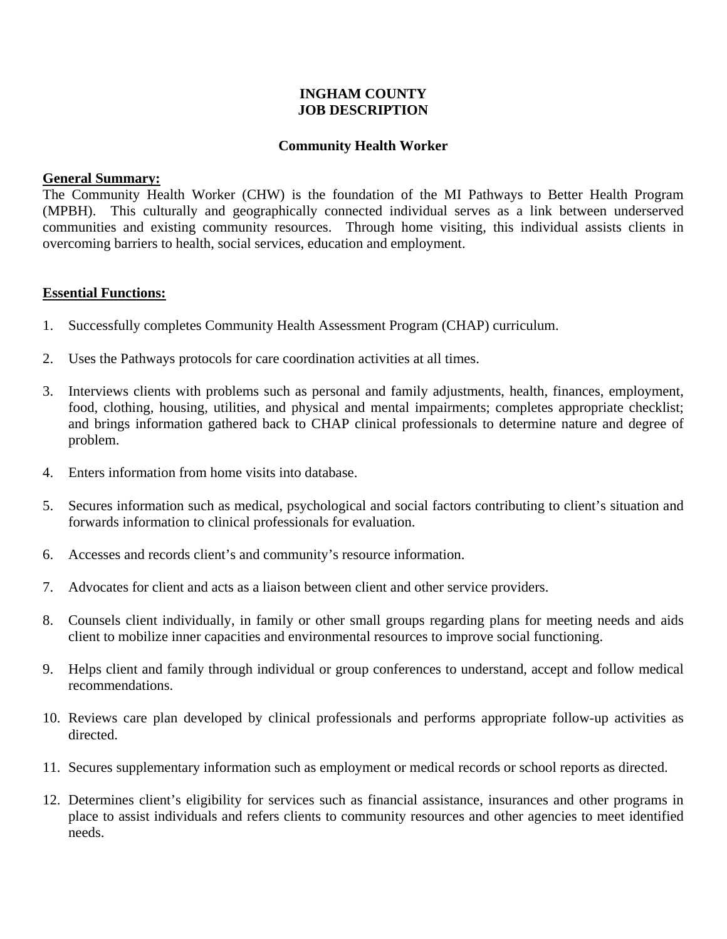#### **INGHAM COUNTY JOB DESCRIPTION**

#### **Community Health Worker**

#### **General Summary:**

The Community Health Worker (CHW) is the foundation of the MI Pathways to Better Health Program (MPBH). This culturally and geographically connected individual serves as a link between underserved communities and existing community resources. Through home visiting, this individual assists clients in overcoming barriers to health, social services, education and employment.

#### **Essential Functions:**

- 1. Successfully completes Community Health Assessment Program (CHAP) curriculum.
- 2. Uses the Pathways protocols for care coordination activities at all times.
- 3. Interviews clients with problems such as personal and family adjustments, health, finances, employment, food, clothing, housing, utilities, and physical and mental impairments; completes appropriate checklist; and brings information gathered back to CHAP clinical professionals to determine nature and degree of problem.
- 4. Enters information from home visits into database.
- 5. Secures information such as medical, psychological and social factors contributing to client's situation and forwards information to clinical professionals for evaluation.
- 6. Accesses and records client's and community's resource information.
- 7. Advocates for client and acts as a liaison between client and other service providers.
- 8. Counsels client individually, in family or other small groups regarding plans for meeting needs and aids client to mobilize inner capacities and environmental resources to improve social functioning.
- 9. Helps client and family through individual or group conferences to understand, accept and follow medical recommendations.
- 10. Reviews care plan developed by clinical professionals and performs appropriate follow-up activities as directed.
- 11. Secures supplementary information such as employment or medical records or school reports as directed.
- 12. Determines client's eligibility for services such as financial assistance, insurances and other programs in place to assist individuals and refers clients to community resources and other agencies to meet identified needs.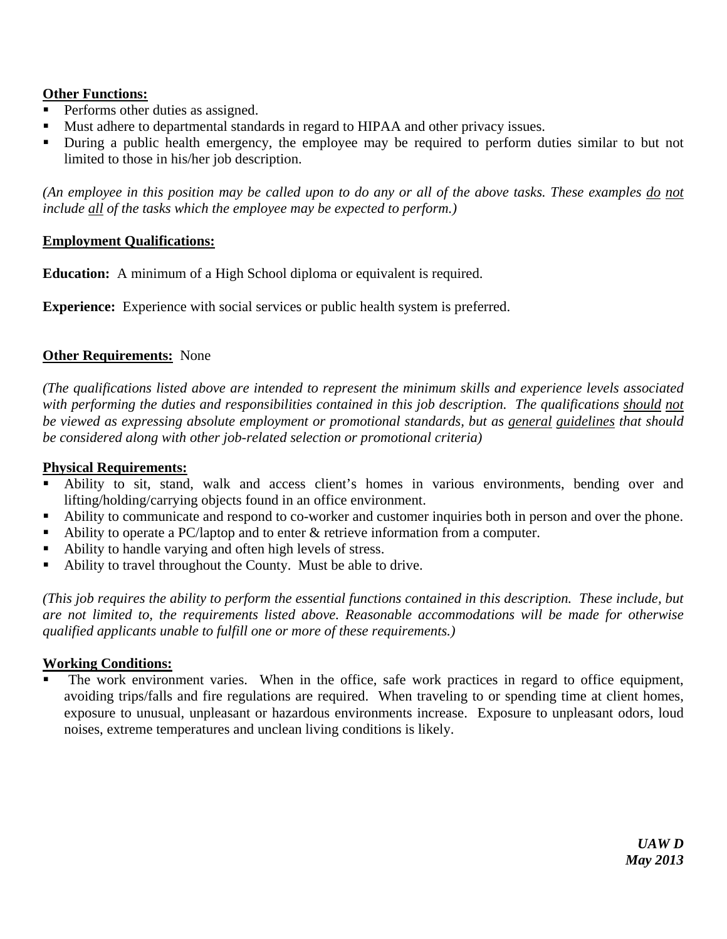## **Other Functions:**

- Performs other duties as assigned.
- Must adhere to departmental standards in regard to HIPAA and other privacy issues.
- During a public health emergency, the employee may be required to perform duties similar to but not limited to those in his/her job description.

*(An employee in this position may be called upon to do any or all of the above tasks. These examples do not include all of the tasks which the employee may be expected to perform.)* 

#### **Employment Qualifications:**

**Education:** A minimum of a High School diploma or equivalent is required.

**Experience:** Experience with social services or public health system is preferred.

## **Other Requirements:** None

*(The qualifications listed above are intended to represent the minimum skills and experience levels associated with performing the duties and responsibilities contained in this job description. The qualifications should not be viewed as expressing absolute employment or promotional standards, but as general guidelines that should be considered along with other job-related selection or promotional criteria)* 

#### **Physical Requirements:**

- Ability to sit, stand, walk and access client's homes in various environments, bending over and lifting/holding/carrying objects found in an office environment.
- Ability to communicate and respond to co-worker and customer inquiries both in person and over the phone.
- Ability to operate a PC/laptop and to enter  $\&$  retrieve information from a computer.
- Ability to handle varying and often high levels of stress.
- Ability to travel throughout the County. Must be able to drive.

*(This job requires the ability to perform the essential functions contained in this description. These include, but are not limited to, the requirements listed above. Reasonable accommodations will be made for otherwise qualified applicants unable to fulfill one or more of these requirements.)*

#### **Working Conditions:**

 The work environment varies. When in the office, safe work practices in regard to office equipment, avoiding trips/falls and fire regulations are required. When traveling to or spending time at client homes, exposure to unusual, unpleasant or hazardous environments increase. Exposure to unpleasant odors, loud noises, extreme temperatures and unclean living conditions is likely.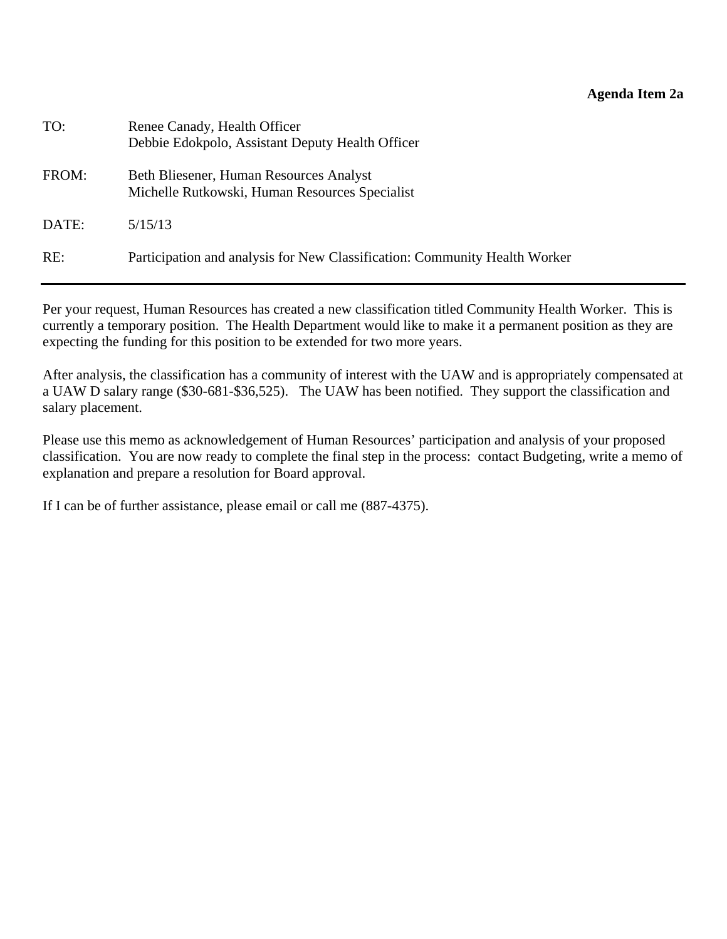#### **Agenda Item 2a**

| TO:   | Renee Canady, Health Officer<br>Debbie Edokpolo, Assistant Deputy Health Officer          |
|-------|-------------------------------------------------------------------------------------------|
| FROM: | Beth Bliesener, Human Resources Analyst<br>Michelle Rutkowski, Human Resources Specialist |
| DATE: | 5/15/13                                                                                   |
| RE:   | Participation and analysis for New Classification: Community Health Worker                |

Per your request, Human Resources has created a new classification titled Community Health Worker. This is currently a temporary position. The Health Department would like to make it a permanent position as they are expecting the funding for this position to be extended for two more years.

After analysis, the classification has a community of interest with the UAW and is appropriately compensated at a UAW D salary range (\$30-681-\$36,525). The UAW has been notified. They support the classification and salary placement.

Please use this memo as acknowledgement of Human Resources' participation and analysis of your proposed classification. You are now ready to complete the final step in the process: contact Budgeting, write a memo of explanation and prepare a resolution for Board approval.

If I can be of further assistance, please email or call me (887-4375).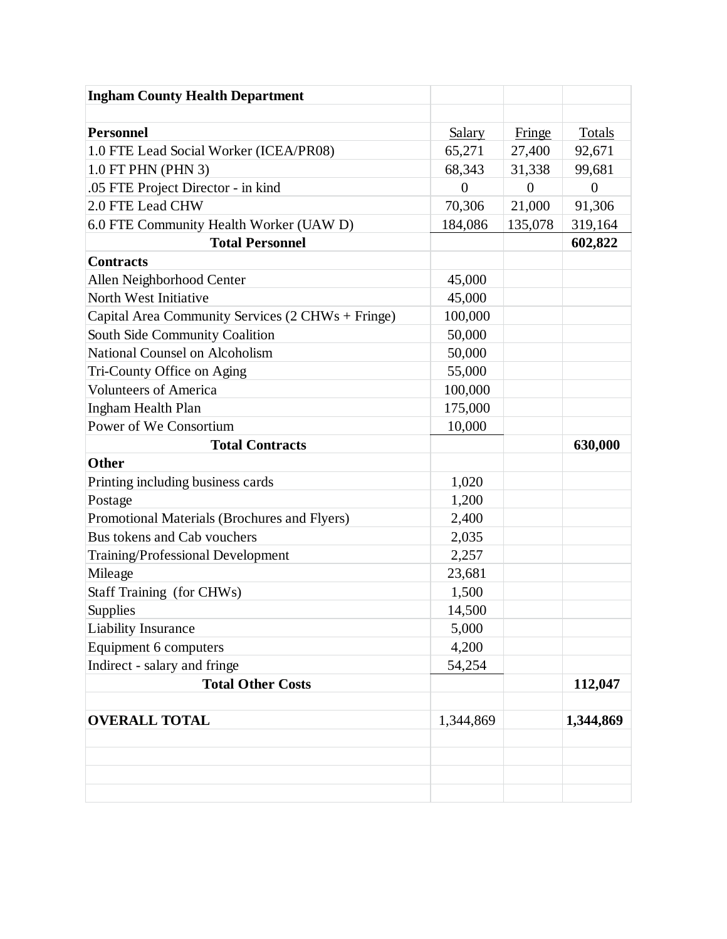| <b>Ingham County Health Department</b>            |                |                |                |
|---------------------------------------------------|----------------|----------------|----------------|
|                                                   |                |                |                |
| <b>Personnel</b>                                  | <b>Salary</b>  | Fringe         | <b>Totals</b>  |
| 1.0 FTE Lead Social Worker (ICEA/PR08)            | 65,271         | 27,400         | 92,671         |
| 1.0 FT PHN (PHN 3)                                | 68,343         | 31,338         | 99,681         |
| .05 FTE Project Director - in kind                | $\overline{0}$ | $\overline{0}$ | $\overline{0}$ |
| 2.0 FTE Lead CHW                                  | 70,306         | 21,000         | 91,306         |
| 6.0 FTE Community Health Worker (UAW D)           | 184,086        | 135,078        | 319,164        |
| <b>Total Personnel</b>                            |                |                | 602,822        |
| <b>Contracts</b>                                  |                |                |                |
| Allen Neighborhood Center                         | 45,000         |                |                |
| North West Initiative                             | 45,000         |                |                |
| Capital Area Community Services (2 CHWs + Fringe) | 100,000        |                |                |
| South Side Community Coalition                    | 50,000         |                |                |
| <b>National Counsel on Alcoholism</b>             | 50,000         |                |                |
| Tri-County Office on Aging                        | 55,000         |                |                |
| <b>Volunteers of America</b>                      | 100,000        |                |                |
| Ingham Health Plan                                | 175,000        |                |                |
| Power of We Consortium                            | 10,000         |                |                |
| <b>Total Contracts</b>                            |                |                | 630,000        |
| Other                                             |                |                |                |
| Printing including business cards                 | 1,020          |                |                |
| Postage                                           | 1,200          |                |                |
| Promotional Materials (Brochures and Flyers)      | 2,400          |                |                |
| Bus tokens and Cab vouchers                       | 2,035          |                |                |
| Training/Professional Development                 | 2,257          |                |                |
| Mileage                                           | 23,681         |                |                |
| Staff Training (for CHWs)                         | 1,500          |                |                |
| Supplies                                          | 14,500         |                |                |
| <b>Liability Insurance</b>                        | 5,000          |                |                |
| Equipment 6 computers                             | 4,200          |                |                |
| Indirect - salary and fringe                      | 54,254         |                |                |
| <b>Total Other Costs</b>                          |                |                | 112,047        |
| <b>OVERALL TOTAL</b>                              | 1,344,869      |                | 1,344,869      |
|                                                   |                |                |                |
|                                                   |                |                |                |
|                                                   |                |                |                |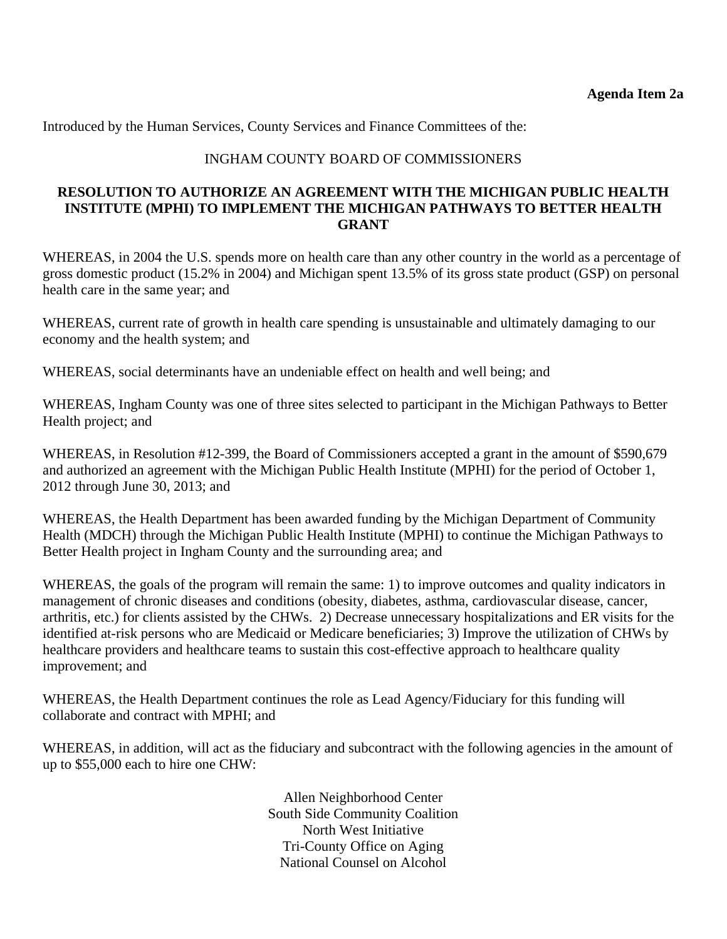Introduced by the Human Services, County Services and Finance Committees of the:

#### INGHAM COUNTY BOARD OF COMMISSIONERS

#### **RESOLUTION TO AUTHORIZE AN AGREEMENT WITH THE MICHIGAN PUBLIC HEALTH INSTITUTE (MPHI) TO IMPLEMENT THE MICHIGAN PATHWAYS TO BETTER HEALTH GRANT**

WHEREAS, in 2004 the U.S. spends more on health care than any other country in the world as a percentage of gross domestic product (15.2% in 2004) and Michigan spent 13.5% of its gross state product (GSP) on personal health care in the same year; and

WHEREAS, current rate of growth in health care spending is unsustainable and ultimately damaging to our economy and the health system; and

WHEREAS, social determinants have an undeniable effect on health and well being; and

WHEREAS, Ingham County was one of three sites selected to participant in the Michigan Pathways to Better Health project; and

WHEREAS, in Resolution #12-399, the Board of Commissioners accepted a grant in the amount of \$590,679 and authorized an agreement with the Michigan Public Health Institute (MPHI) for the period of October 1, 2012 through June 30, 2013; and

WHEREAS, the Health Department has been awarded funding by the Michigan Department of Community Health (MDCH) through the Michigan Public Health Institute (MPHI) to continue the Michigan Pathways to Better Health project in Ingham County and the surrounding area; and

WHEREAS, the goals of the program will remain the same: 1) to improve outcomes and quality indicators in management of chronic diseases and conditions (obesity, diabetes, asthma, cardiovascular disease, cancer, arthritis, etc.) for clients assisted by the CHWs. 2) Decrease unnecessary hospitalizations and ER visits for the identified at-risk persons who are Medicaid or Medicare beneficiaries; 3) Improve the utilization of CHWs by healthcare providers and healthcare teams to sustain this cost-effective approach to healthcare quality improvement; and

WHEREAS, the Health Department continues the role as Lead Agency/Fiduciary for this funding will collaborate and contract with MPHI; and

WHEREAS, in addition, will act as the fiduciary and subcontract with the following agencies in the amount of up to \$55,000 each to hire one CHW:

> Allen Neighborhood Center South Side Community Coalition North West Initiative Tri-County Office on Aging National Counsel on Alcohol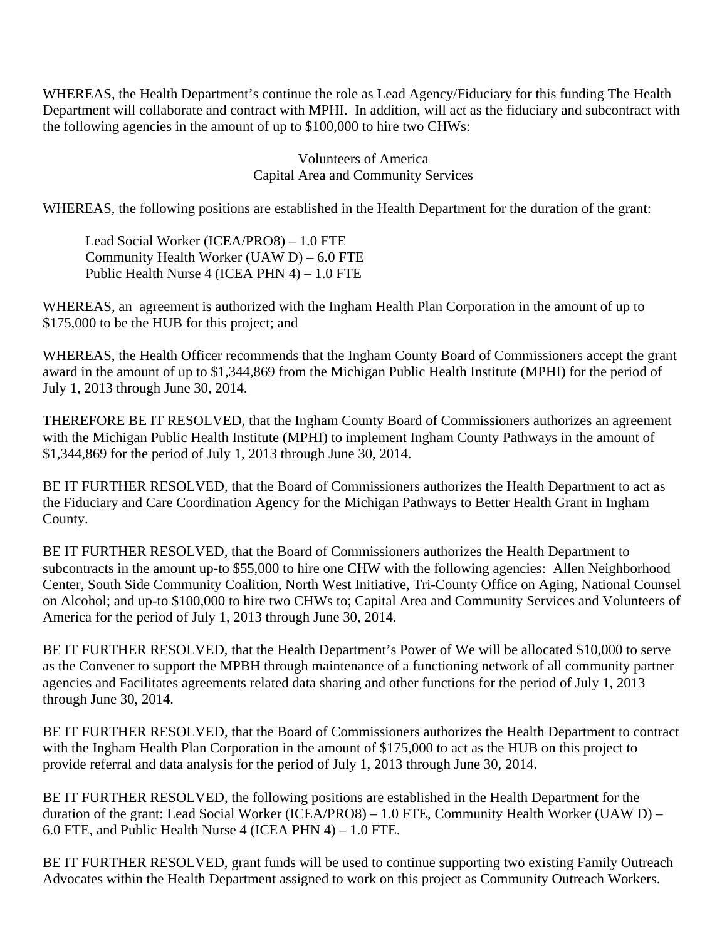WHEREAS, the Health Department's continue the role as Lead Agency/Fiduciary for this funding The Health Department will collaborate and contract with MPHI. In addition, will act as the fiduciary and subcontract with the following agencies in the amount of up to \$100,000 to hire two CHWs:

> Volunteers of America Capital Area and Community Services

WHEREAS, the following positions are established in the Health Department for the duration of the grant:

Lead Social Worker (ICEA/PRO8) – 1.0 FTE Community Health Worker (UAW D) – 6.0 FTE Public Health Nurse 4 (ICEA PHN 4) – 1.0 FTE

WHEREAS, an agreement is authorized with the Ingham Health Plan Corporation in the amount of up to \$175,000 to be the HUB for this project; and

WHEREAS, the Health Officer recommends that the Ingham County Board of Commissioners accept the grant award in the amount of up to \$1,344,869 from the Michigan Public Health Institute (MPHI) for the period of July 1, 2013 through June 30, 2014.

THEREFORE BE IT RESOLVED, that the Ingham County Board of Commissioners authorizes an agreement with the Michigan Public Health Institute (MPHI) to implement Ingham County Pathways in the amount of \$1,344,869 for the period of July 1, 2013 through June 30, 2014.

BE IT FURTHER RESOLVED, that the Board of Commissioners authorizes the Health Department to act as the Fiduciary and Care Coordination Agency for the Michigan Pathways to Better Health Grant in Ingham County.

BE IT FURTHER RESOLVED, that the Board of Commissioners authorizes the Health Department to subcontracts in the amount up-to \$55,000 to hire one CHW with the following agencies: Allen Neighborhood Center, South Side Community Coalition, North West Initiative, Tri-County Office on Aging, National Counsel on Alcohol; and up-to \$100,000 to hire two CHWs to; Capital Area and Community Services and Volunteers of America for the period of July 1, 2013 through June 30, 2014.

BE IT FURTHER RESOLVED, that the Health Department's Power of We will be allocated \$10,000 to serve as the Convener to support the MPBH through maintenance of a functioning network of all community partner agencies and Facilitates agreements related data sharing and other functions for the period of July 1, 2013 through June 30, 2014.

BE IT FURTHER RESOLVED, that the Board of Commissioners authorizes the Health Department to contract with the Ingham Health Plan Corporation in the amount of \$175,000 to act as the HUB on this project to provide referral and data analysis for the period of July 1, 2013 through June 30, 2014.

BE IT FURTHER RESOLVED, the following positions are established in the Health Department for the duration of the grant: Lead Social Worker (ICEA/PRO8) – 1.0 FTE, Community Health Worker (UAW D) – 6.0 FTE, and Public Health Nurse 4 (ICEA PHN 4) – 1.0 FTE.

BE IT FURTHER RESOLVED, grant funds will be used to continue supporting two existing Family Outreach Advocates within the Health Department assigned to work on this project as Community Outreach Workers.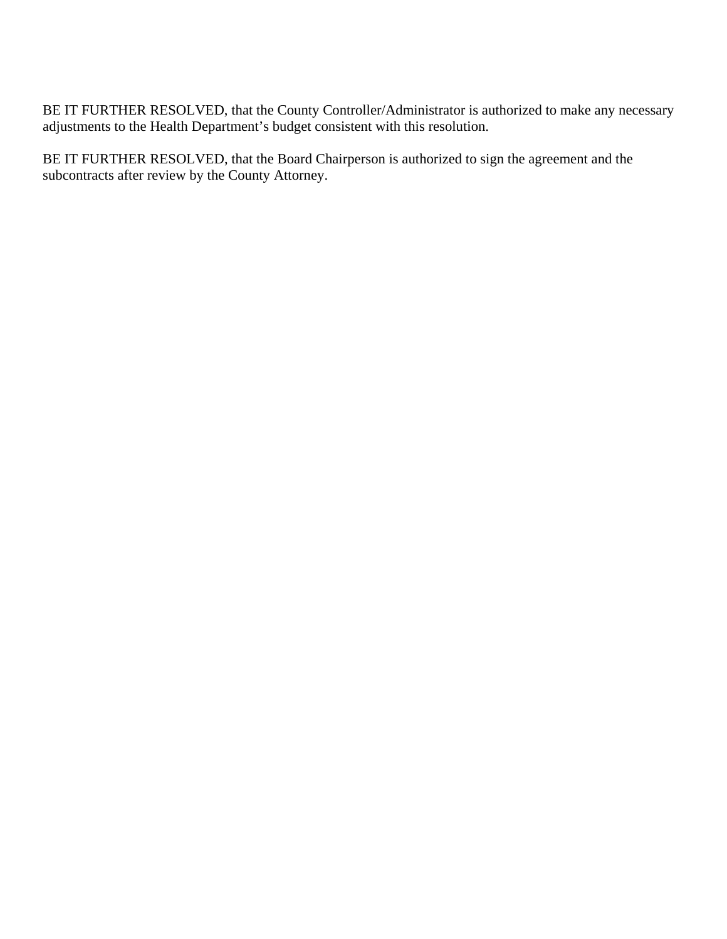BE IT FURTHER RESOLVED, that the County Controller/Administrator is authorized to make any necessary adjustments to the Health Department's budget consistent with this resolution.

BE IT FURTHER RESOLVED, that the Board Chairperson is authorized to sign the agreement and the subcontracts after review by the County Attorney.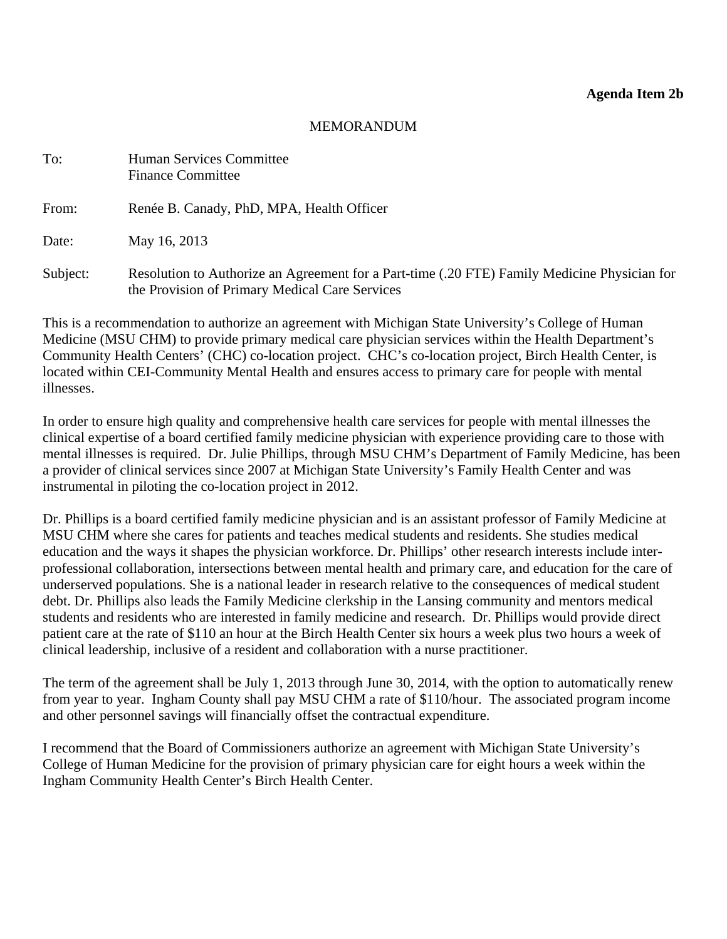#### MEMORANDUM

<span id="page-16-0"></span>

| To:      | Human Services Committee<br><b>Finance Committee</b>                                                                                           |
|----------|------------------------------------------------------------------------------------------------------------------------------------------------|
| From:    | Renée B. Canady, PhD, MPA, Health Officer                                                                                                      |
| Date:    | May 16, 2013                                                                                                                                   |
| Subject: | Resolution to Authorize an Agreement for a Part-time (.20 FTE) Family Medicine Physician for<br>the Provision of Primary Medical Care Services |

This is a recommendation to authorize an agreement with Michigan State University's College of Human Medicine (MSU CHM) to provide primary medical care physician services within the Health Department's Community Health Centers' (CHC) co-location project. CHC's co-location project, Birch Health Center, is located within CEI-Community Mental Health and ensures access to primary care for people with mental illnesses.

In order to ensure high quality and comprehensive health care services for people with mental illnesses the clinical expertise of a board certified family medicine physician with experience providing care to those with mental illnesses is required. Dr. Julie Phillips, through MSU CHM's Department of Family Medicine, has been a provider of clinical services since 2007 at Michigan State University's Family Health Center and was instrumental in piloting the co-location project in 2012.

Dr. Phillips is a board certified family medicine physician and is an assistant professor of Family Medicine at MSU CHM where she cares for patients and teaches medical students and residents. She studies medical education and the ways it shapes the physician workforce. Dr. Phillips' other research interests include interprofessional collaboration, intersections between mental health and primary care, and education for the care of underserved populations. She is a national leader in research relative to the consequences of medical student debt. Dr. Phillips also leads the Family Medicine clerkship in the Lansing community and mentors medical students and residents who are interested in family medicine and research. Dr. Phillips would provide direct patient care at the rate of \$110 an hour at the Birch Health Center six hours a week plus two hours a week of clinical leadership, inclusive of a resident and collaboration with a nurse practitioner.

The term of the agreement shall be July 1, 2013 through June 30, 2014, with the option to automatically renew from year to year. Ingham County shall pay MSU CHM a rate of \$110/hour. The associated program income and other personnel savings will financially offset the contractual expenditure.

I recommend that the Board of Commissioners authorize an agreement with Michigan State University's College of Human Medicine for the provision of primary physician care for eight hours a week within the Ingham Community Health Center's Birch Health Center.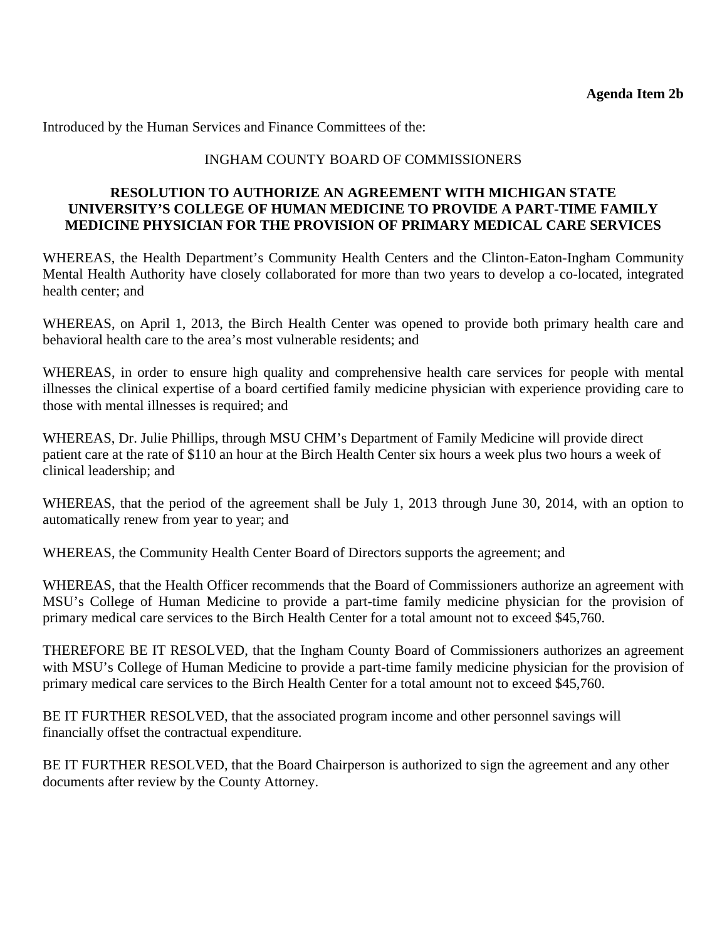Introduced by the Human Services and Finance Committees of the:

#### INGHAM COUNTY BOARD OF COMMISSIONERS

#### **RESOLUTION TO AUTHORIZE AN AGREEMENT WITH MICHIGAN STATE UNIVERSITY'S COLLEGE OF HUMAN MEDICINE TO PROVIDE A PART-TIME FAMILY MEDICINE PHYSICIAN FOR THE PROVISION OF PRIMARY MEDICAL CARE SERVICES**

WHEREAS, the Health Department's Community Health Centers and the Clinton-Eaton-Ingham Community Mental Health Authority have closely collaborated for more than two years to develop a co-located, integrated health center; and

WHEREAS, on April 1, 2013, the Birch Health Center was opened to provide both primary health care and behavioral health care to the area's most vulnerable residents; and

WHEREAS, in order to ensure high quality and comprehensive health care services for people with mental illnesses the clinical expertise of a board certified family medicine physician with experience providing care to those with mental illnesses is required; and

WHEREAS, Dr. Julie Phillips, through MSU CHM's Department of Family Medicine will provide direct patient care at the rate of \$110 an hour at the Birch Health Center six hours a week plus two hours a week of clinical leadership; and

WHEREAS, that the period of the agreement shall be July 1, 2013 through June 30, 2014, with an option to automatically renew from year to year; and

WHEREAS, the Community Health Center Board of Directors supports the agreement; and

WHEREAS, that the Health Officer recommends that the Board of Commissioners authorize an agreement with MSU's College of Human Medicine to provide a part-time family medicine physician for the provision of primary medical care services to the Birch Health Center for a total amount not to exceed \$45,760.

THEREFORE BE IT RESOLVED, that the Ingham County Board of Commissioners authorizes an agreement with MSU's College of Human Medicine to provide a part-time family medicine physician for the provision of primary medical care services to the Birch Health Center for a total amount not to exceed \$45,760.

BE IT FURTHER RESOLVED, that the associated program income and other personnel savings will financially offset the contractual expenditure.

BE IT FURTHER RESOLVED, that the Board Chairperson is authorized to sign the agreement and any other documents after review by the County Attorney.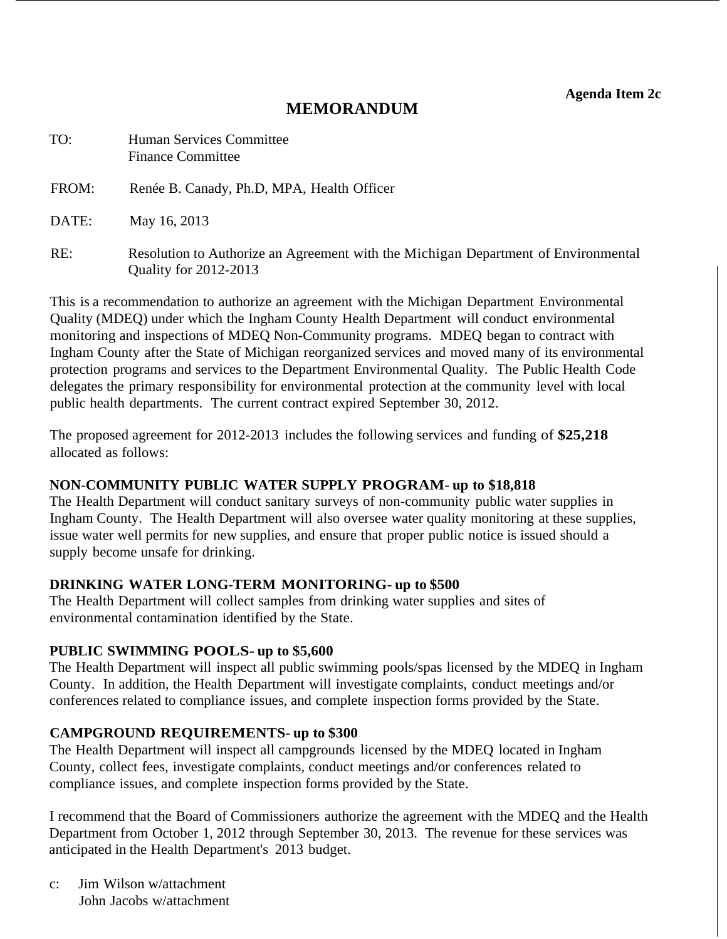**Agenda Item 2c** 

# **MEMORANDUM**

<span id="page-18-0"></span>

| TO:   | Human Services Committee<br><b>Finance Committee</b>                                                               |
|-------|--------------------------------------------------------------------------------------------------------------------|
| FROM: | Renée B. Canady, Ph.D, MPA, Health Officer                                                                         |
| DATE: | May 16, 2013                                                                                                       |
| RE:   | Resolution to Authorize an Agreement with the Michigan Department of Environmental<br><b>Quality for 2012-2013</b> |

This is a recommendation to authorize an agreement with the Michigan Department Environmental Quality (MDEQ) under which the Ingham County Health Department will conduct environmental monitoring and inspections of MDEQ Non-Community programs. MDEQ began to contract with Ingham County after the State of Michigan reorganized services and moved many of its environmental protection programs and services to the Department Environmental Quality. The Public Health Code delegates the primary responsibility for environmental protection at the community level with local public health departments. The current contract expired September 30, 2012.

The proposed agreement for 2012-2013 includes the following services and funding of **\$25,218** allocated as follows:

## **NON-COMMUNITY PUBLIC WATER SUPPLY PROGRAM- up to \$18,818**

The Health Department will conduct sanitary surveys of non-community public water supplies in Ingham County. The Health Department will also oversee water quality monitoring at these supplies, issue water well permits for new supplies, and ensure that proper public notice is issued should a supply become unsafe for drinking.

## **DRINKING WATER LONG-TERM MONITORING- up to \$500**

The Health Department will collect samples from drinking water supplies and sites of environmental contamination identified by the State.

## **PUBLIC SWIMMING POOLS- up to \$5,600**

The Health Department will inspect all public swimming pools/spas licensed by the MDEQ in Ingham County. In addition, the Health Department will investigate complaints, conduct meetings and/or conferences related to compliance issues, and complete inspection forms provided by the State.

## **CAMPGROUND REQUIREMENTS- up to \$300**

The Health Department will inspect all campgrounds licensed by the MDEQ located in Ingham County, collect fees, investigate complaints, conduct meetings and/or conferences related to compliance issues, and complete inspection forms provided by the State.

I recommend that the Board of Commissioners authorize the agreement with the MDEQ and the Health Department from October 1, 2012 through September 30, 2013. The revenue for these services was anticipated in the Health Department's 2013 budget.

c: Jim Wilson w/attachment John Jacobs w/attachment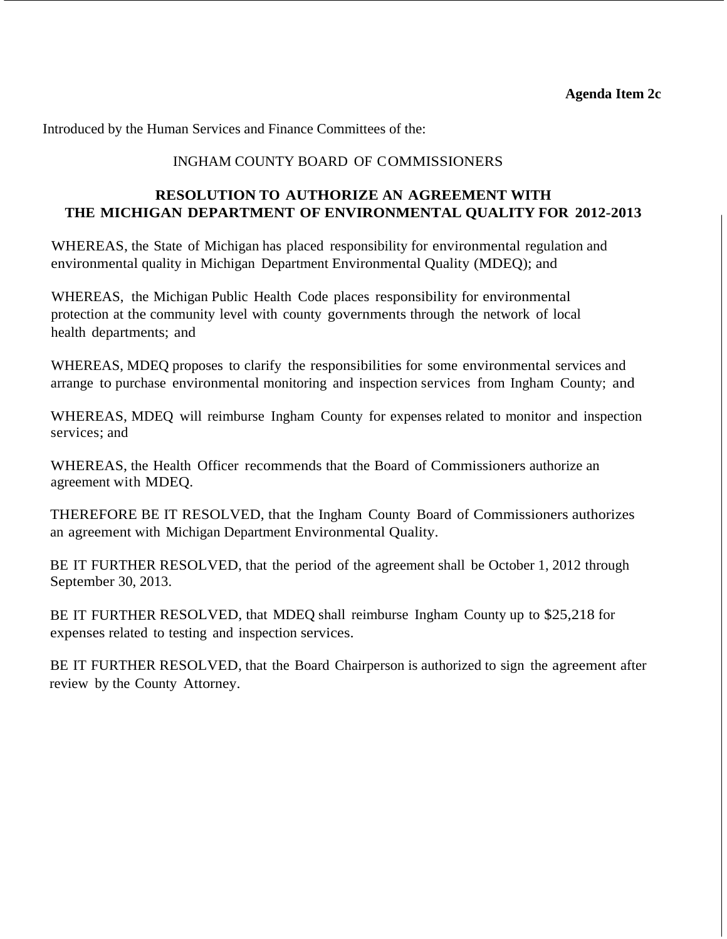Introduced by the Human Services and Finance Committees of the:

#### INGHAM COUNTY BOARD OF COMMISSIONERS

## **RESOLUTION TO AUTHORIZE AN AGREEMENT WITH THE MICHIGAN DEPARTMENT OF ENVIRONMENTAL QUALITY FOR 2012-2013**

WHEREAS, the State of Michigan has placed responsibility for environmental regulation and environmental quality in Michigan Department Environmental Quality (MDEQ); and

WHEREAS, the Michigan Public Health Code places responsibility for environmental protection at the community level with county governments through the network of local health departments; and

WHEREAS, MDEQ proposes to clarify the responsibilities for some environmental services and arrange to purchase environmental monitoring and inspection services from Ingham County; and

WHEREAS, MDEQ will reimburse Ingham County for expenses related to monitor and inspection services; and

WHEREAS, the Health Officer recommends that the Board of Commissioners authorize an agreement with MDEQ.

THEREFORE BE IT RESOLVED, that the Ingham County Board of Commissioners authorizes an agreement with Michigan Department Environmental Quality.

BE IT FURTHER RESOLVED, that the period of the agreement shall be October 1, 2012 through September 30, 2013.

BE IT FURTHER RESOLVED, that MDEQ shall reimburse Ingham County up to \$25,218 for expenses related to testing and inspection services.

BE IT FURTHER RESOLVED, that the Board Chairperson is authorized to sign the agreement after review by the County Attorney.